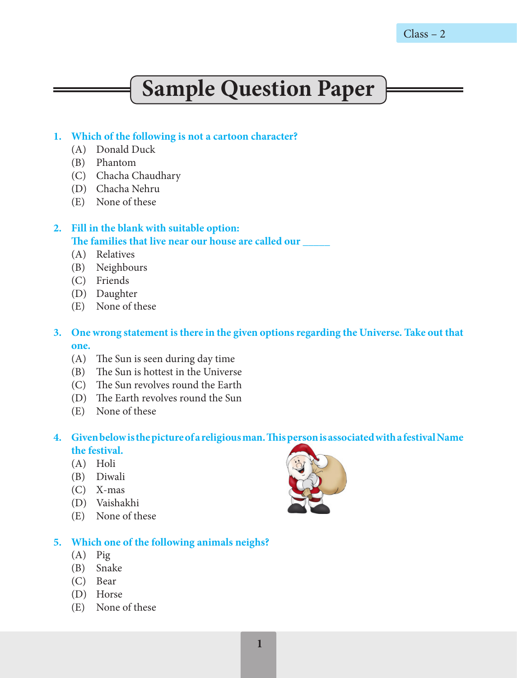**1** 

# **Sample Question Paper**

## **1. Which of the following is not a cartoon character?**

- (A) Donald Duck
- (B) Phantom
- (C) Chacha Chaudhary
- (D) Chacha Nehru
- (E) None of these

# **2. Fill in the blank with suitable option:** The families that live near our house are called our

- (A) Relatives
- (B) Neighbours
- (C) Friends
- (D) Daughter
- (E) None of these
- **3. One wrong statement is there in the given options regarding the Universe. Take out that one.**
	- (A) The Sun is seen during day time
	- (B) The Sun is hottest in the Universe
	- (C) The Sun revolves round the Earth
	- (D) The Earth revolves round the Sun
	- (E) None of these

## **4. Given below is the picture of a religious man. This person is associated with a festival Name the festival.**

- (A) Holi
- (B) Diwali
- (C) X-mas
- (D) Vaishakhi
- (E) None of these

# **5. Which one of the following animals neighs?**

- (A) Pig
- (B) Snake
- (C) Bear
- (D) Horse
- (E) None of these

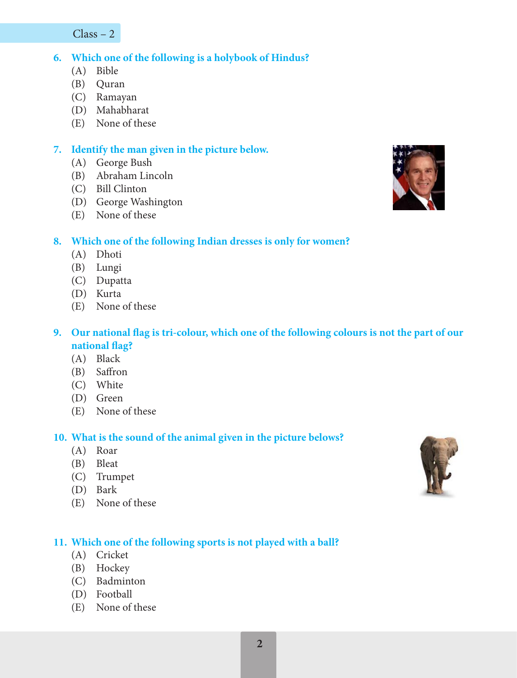Class – 2

## **6. Which one of the following is a holybook of Hindus?**

- (A) Bible
- (B) Quran
- (C) Ramayan
- (D) Mahabharat
- (E) None of these

## **7. Identify the man given in the picture below.**

- (A) George Bush
- (B) Abraham Lincoln
- (C) Bill Clinton
- (D) George Washington
- (E) None of these



## **8. Which one of the following Indian dresses is only for women?**

- (A) Dhoti
- (B) Lungi
- (C) Dupatta
- (D) Kurta
- (E) None of these

## **9. Our national flag is tri-colour, which one of the following colours is not the part of our national flag?**

- (A) Black
- (B) Saffron
- (C) White
- (D) Green
- (E) None of these

## **10. What is the sound of the animal given in the picture belows?**

- (A) Roar
- (B) Bleat
- (C) Trumpet
- (D) Bark
- (E) None of these

# **11. Which one of the following sports is not played with a ball?**

- (A) Cricket
- (B) Hockey
- (C) Badminton
- (D) Football
- (E) None of these

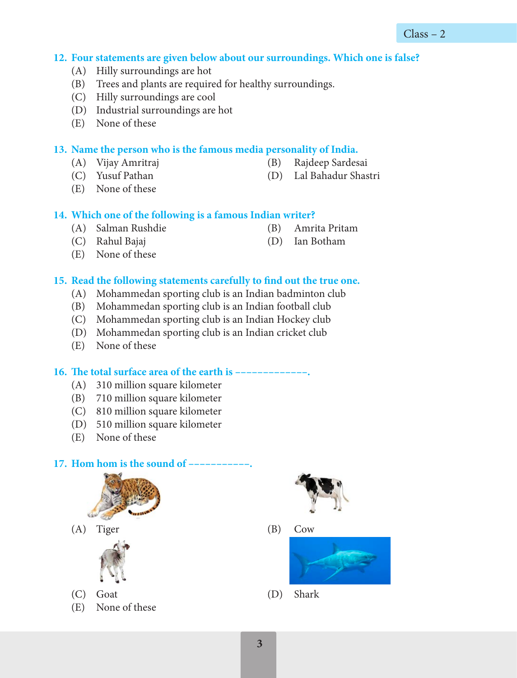#### **12. Four statements are given below about our surroundings. Which one is false?**

- (A) Hilly surroundings are hot
- (B) Trees and plants are required for healthy surroundings.
- (C) Hilly surroundings are cool
- (D) Industrial surroundings are hot
- (E) None of these

#### **13. Name the person who is the famous media personality of India.**

- (A) Vijay Amritraj (B) Rajdeep Sardesai
- (C) Yusuf Pathan (D) Lal Bahadur Shastri
- -

(E) None of these

#### **14. Which one of the following is a famous Indian writer?**

- (A) Salman Rushdie (B) Amrita Pritam
- (C) Rahul Bajaj (D) Ian Botham
- -

(E) None of these

#### **15. Read the following statements carefully to find out the true one.**

- (A) Mohammedan sporting club is an Indian badminton club
- (B) Mohammedan sporting club is an Indian football club
- (C) Mohammedan sporting club is an Indian Hockey club
- (D) Mohammedan sporting club is an Indian cricket club
- (E) None of these

#### **16. The total surface area of the earth is –––––––––––––.**

- (A) 310 million square kilometer
- (B) 710 million square kilometer
- (C) 810 million square kilometer
- (D) 510 million square kilometer
- (E) None of these

#### 17. **Hom hom is the sound of -**



(A) Tiger (B) Cow



- (C) Goat (D) Shark
- (E) None of these



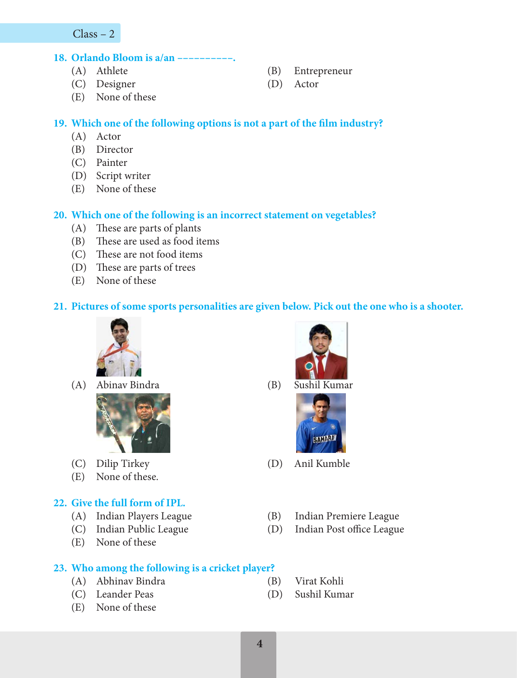Class – 2

#### **18. Orlando Bloom is a/an ––––––––––.**

- 
- (C) Designer (D) Actor
- (E) None of these
- (A) Athlete (B) Entrepreneur
	-

## **19. Which one of the following options is not a part of the film industry?**

- (A) Actor
- (B) Director
- (C) Painter
- (D) Script writer
- (E) None of these

## **20. Which one of the following is an incorrect statement on vegetables?**

- (A) These are parts of plants
- (B) These are used as food items
- (C) These are not food items
- (D) These are parts of trees
- (E) None of these

### **21. Pictures of some sports personalities are given below. Pick out the one who is a shooter.**



(A) Abinav Bindra (B) Sushil Kumar



- 
- (E) None of these.

## **22. Give the full form of IPL.**

- 
- 
- (E) None of these

## **23. Who among the following is a cricket player?**

- (A) Abhinav Bindra (B) Virat Kohli
- (C) Leander Peas (D) Sushil Kumar
- (E) None of these





- (C) Dilip Tirkey (D) Anil Kumble
- (A) Indian Players League (B) Indian Premiere League
- (C) Indian Public League (D) Indian Post office League
	-
	-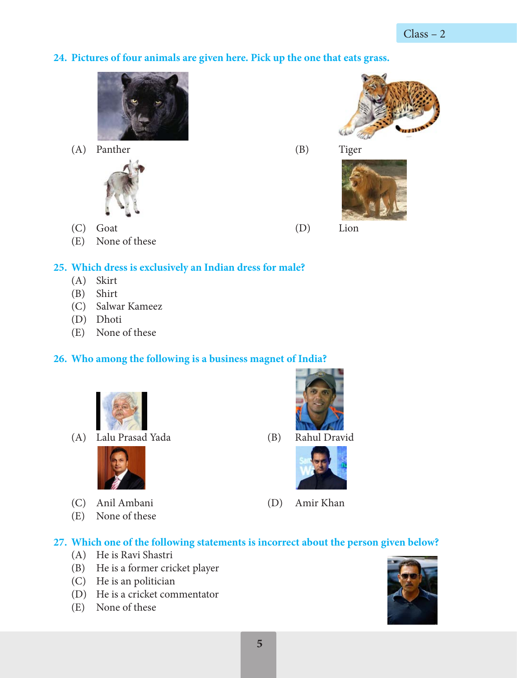# **24. Pictures of four animals are given here. Pick up the one that eats grass.**



(A) Panther (B) Tiger



- (C) Goat (D) Lion
- (E) None of these

# **25. Which dress is exclusively an Indian dress for male?**

- (A) Skirt
- (B) Shirt
- (C) Salwar Kameez
- (D) Dhoti
- (E) None of these

# **26. Who among the following is a business magnet of India?**



(A) Lalu Prasad Yada (B) Rahul Dravid



- (C) Anil Ambani (D) Amir Khan
- (E) None of these







# **27. Which one of the following statements is incorrect about the person given below?**

- (A) He is Ravi Shastri
- (B) He is a former cricket player
- (C) He is an politician
- (D) He is a cricket commentator
- (E) None of these